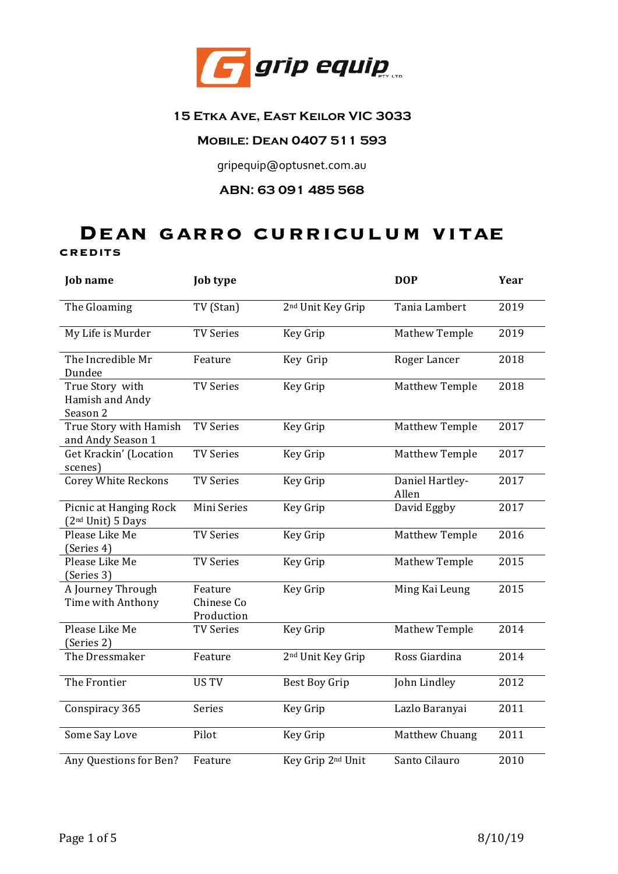

## **15 Etka Ave, East Keilor VIC 3033**

## **Mobile: Dean 0407 511 593**

gripequip@optusnet.com.au

## **ABN: 63 091 485 568**

# **Dean garro curriculum vitae CREDITS**

| <b>Job</b> name                                         | <b>Job type</b>                     |                               | <b>DOP</b>               | Year |
|---------------------------------------------------------|-------------------------------------|-------------------------------|--------------------------|------|
| The Gloaming                                            | TV (Stan)                           | 2 <sup>nd</sup> Unit Key Grip | Tania Lambert            | 2019 |
| My Life is Murder                                       | <b>TV Series</b>                    | Key Grip                      | <b>Mathew Temple</b>     | 2019 |
| The Incredible Mr<br>Dundee                             | Feature                             | Key Grip                      | Roger Lancer             | 2018 |
| True Story with<br>Hamish and Andy<br>Season 2          | <b>TV Series</b>                    | Key Grip                      | <b>Matthew Temple</b>    | 2018 |
| True Story with Hamish<br>and Andy Season 1             | <b>TV Series</b>                    | Key Grip                      | Matthew Temple           | 2017 |
| Get Krackin' (Location<br>scenes)                       | <b>TV Series</b>                    | Key Grip                      | Matthew Temple           | 2017 |
| <b>Corey White Reckons</b>                              | <b>TV Series</b>                    | Key Grip                      | Daniel Hartley-<br>Allen | 2017 |
| Picnic at Hanging Rock<br>(2 <sup>nd</sup> Unit) 5 Days | Mini Series                         | Key Grip                      | David Eggby              | 2017 |
| Please Like Me<br>(Series 4)                            | <b>TV Series</b>                    | Key Grip                      | <b>Matthew Temple</b>    | 2016 |
| Please Like Me<br>(Series 3)                            | <b>TV Series</b>                    | Key Grip                      | Mathew Temple            | 2015 |
| A Journey Through<br>Time with Anthony                  | Feature<br>Chinese Co<br>Production | Key Grip                      | Ming Kai Leung           | 2015 |
| Please Like Me<br>(Series 2)                            | <b>TV Series</b>                    | Key Grip                      | Mathew Temple            | 2014 |
| The Dressmaker                                          | Feature                             | 2 <sup>nd</sup> Unit Key Grip | Ross Giardina            | 2014 |
| The Frontier                                            | <b>US TV</b>                        | Best Boy Grip                 | John Lindley             | 2012 |
| Conspiracy 365                                          | Series                              | Key Grip                      | Lazlo Baranyai           | 2011 |
| Some Say Love                                           | Pilot                               | Key Grip                      | Matthew Chuang           | 2011 |
| Any Questions for Ben?                                  | Feature                             | Key Grip 2 <sup>nd</sup> Unit | Santo Cilauro            | 2010 |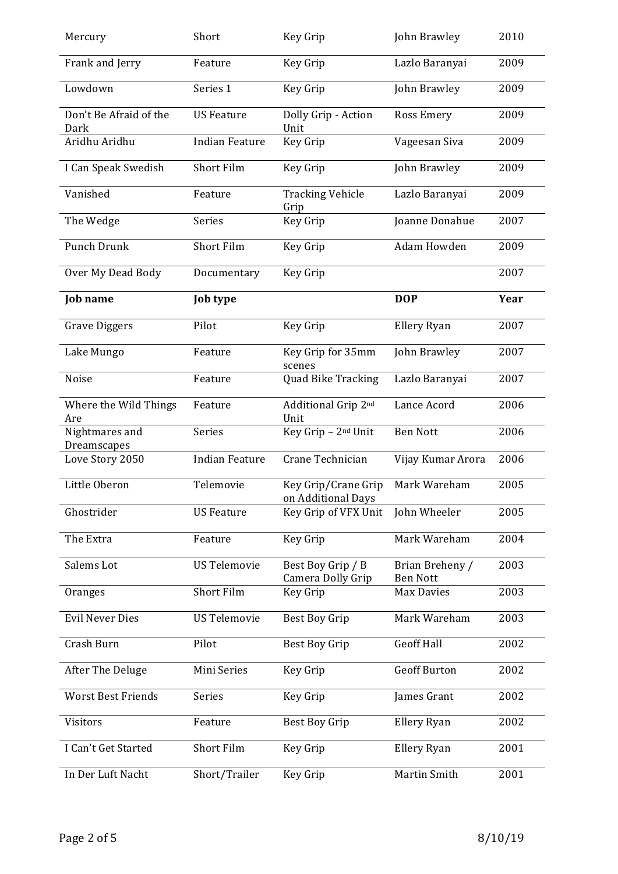| Mercury                        | Short                 | Key Grip                                  | John Brawley                       | 2010 |
|--------------------------------|-----------------------|-------------------------------------------|------------------------------------|------|
| Frank and Jerry                | Feature               | Key Grip                                  | Lazlo Baranyai                     | 2009 |
| Lowdown                        | Series 1              | Key Grip                                  | John Brawley                       | 2009 |
| Don't Be Afraid of the<br>Dark | <b>US Feature</b>     | Dolly Grip - Action<br>Unit               | <b>Ross Emery</b>                  | 2009 |
| Aridhu Aridhu                  | <b>Indian Feature</b> | Key Grip                                  | Vageesan Siva                      | 2009 |
| I Can Speak Swedish            | Short Film            | Key Grip                                  | John Brawley                       | 2009 |
| Vanished                       | Feature               | <b>Tracking Vehicle</b><br>Grip           | Lazlo Baranyai                     | 2009 |
| The Wedge                      | Series                | Key Grip                                  | Joanne Donahue                     | 2007 |
| <b>Punch Drunk</b>             | <b>Short Film</b>     | Key Grip                                  | Adam Howden                        | 2009 |
| Over My Dead Body              | Documentary           | Key Grip                                  |                                    | 2007 |
| <b>Job</b> name                | <b>Job type</b>       |                                           | <b>DOP</b>                         | Year |
| <b>Grave Diggers</b>           | Pilot                 | Key Grip                                  | Ellery Ryan                        | 2007 |
| Lake Mungo                     | Feature               | Key Grip for 35mm<br>scenes               | John Brawley                       | 2007 |
| Noise                          | Feature               | <b>Quad Bike Tracking</b>                 | Lazlo Baranyai                     | 2007 |
| Where the Wild Things<br>Are   | Feature               | Additional Grip 2nd<br>Unit               | Lance Acord                        | 2006 |
| Nightmares and                 | Series                | Key Grip - 2 <sup>nd</sup> Unit           | <b>Ben Nott</b>                    | 2006 |
| Dreamscapes<br>Love Story 2050 | <b>Indian Feature</b> | Crane Technician                          | Vijay Kumar Arora                  | 2006 |
| Little Oberon                  | Telemovie             | Key Grip/Crane Grip<br>on Additional Days | Mark Wareham                       | 2005 |
| Ghostrider                     | <b>US Feature</b>     | Key Grip of VFX Unit                      | John Wheeler                       | 2005 |
| The Extra                      | Feature               | Key Grip                                  | Mark Wareham                       | 2004 |
| Salems Lot                     | <b>US Telemovie</b>   | Best Boy Grip / B<br>Camera Dolly Grip    | Brian Breheny /<br><b>Ben Nott</b> | 2003 |
| Oranges                        | <b>Short Film</b>     | Key Grip                                  | Max Davies                         | 2003 |
| <b>Evil Never Dies</b>         | <b>US Telemovie</b>   | <b>Best Boy Grip</b>                      | Mark Wareham                       | 2003 |
| Crash Burn                     | Pilot                 | <b>Best Boy Grip</b>                      | <b>Geoff Hall</b>                  | 2002 |
| After The Deluge               | Mini Series           | Key Grip                                  | <b>Geoff Burton</b>                | 2002 |
| <b>Worst Best Friends</b>      | Series                | Key Grip                                  | James Grant                        | 2002 |
| Visitors                       | Feature               | <b>Best Boy Grip</b>                      | Ellery Ryan                        | 2002 |
| I Can't Get Started            | Short Film            | Key Grip                                  | Ellery Ryan                        | 2001 |
| In Der Luft Nacht              | Short/Trailer         | Key Grip                                  | Martin Smith                       | 2001 |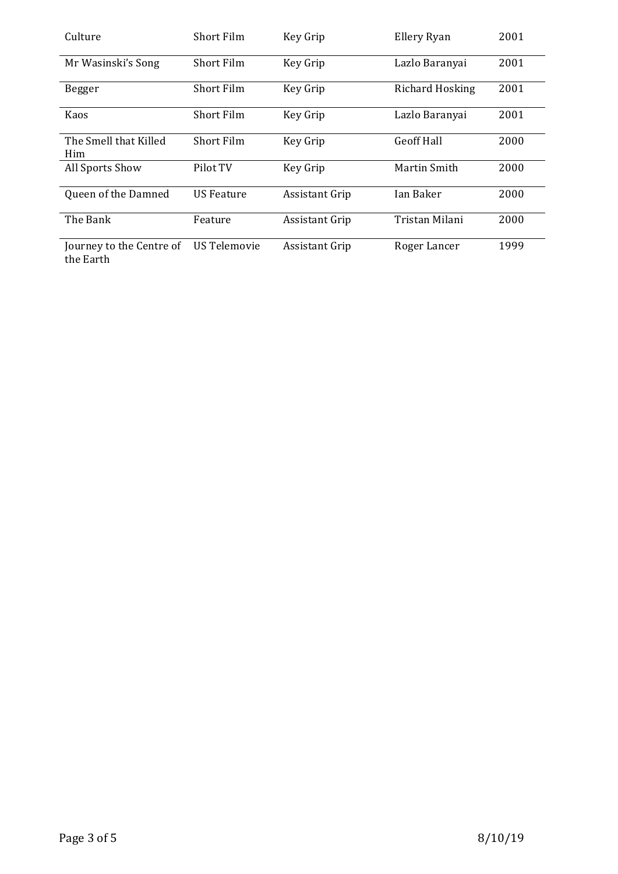| Culture                               | Short Film          | Key Grip              | Ellery Ryan       | 2001 |
|---------------------------------------|---------------------|-----------------------|-------------------|------|
| Mr Wasinski's Song                    | <b>Short Film</b>   | Key Grip              | Lazlo Baranyai    | 2001 |
| Begger                                | Short Film          | Key Grip              | Richard Hosking   | 2001 |
| Kaos                                  | <b>Short Film</b>   | Key Grip              | Lazlo Baranyai    | 2001 |
| The Smell that Killed<br>Him          | <b>Short Film</b>   | Key Grip              | <b>Geoff Hall</b> | 2000 |
| All Sports Show                       | Pilot TV            | Key Grip              | Martin Smith      | 2000 |
| Queen of the Damned                   | US Feature          | <b>Assistant Grip</b> | Ian Baker         | 2000 |
| The Bank                              | Feature             | <b>Assistant Grip</b> | Tristan Milani    | 2000 |
| Journey to the Centre of<br>the Earth | <b>US Telemovie</b> | <b>Assistant Grip</b> | Roger Lancer      | 1999 |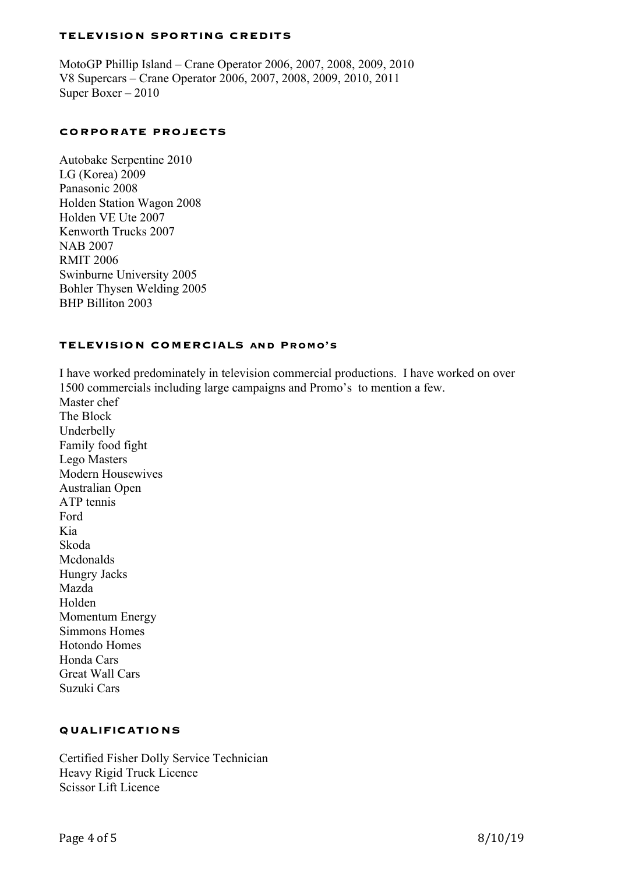#### **TELEVISION SPORTING CREDITS**

MotoGP Phillip Island – Crane Operator 2006, 2007, 2008, 2009, 2010 V8 Supercars – Crane Operator 2006, 2007, 2008, 2009, 2010, 2011 Super Boxer – 2010

#### **CORPORATE PROJECTS**

Autobake Serpentine 2010 LG (Korea) 2009 Panasonic 2008 Holden Station Wagon 2008 Holden VE Ute 2007 Kenworth Trucks 2007 NAB 2007 RMIT 2006 Swinburne University 2005 Bohler Thysen Welding 2005 BHP Billiton 2003

#### **TELEVISION COMERCIALS and Promo's**

I have worked predominately in television commercial productions. I have worked on over 1500 commercials including large campaigns and Promo's to mention a few. Master chef The Block Underbelly Family food fight Lego Masters Modern Housewives Australian Open ATP tennis Ford Kia Skoda Mcdonalds Hungry Jacks Mazda Holden Momentum Energy Simmons Homes Hotondo Homes Honda Cars Great Wall Cars

### **QUALIFICATIONS**

Certified Fisher Dolly Service Technician Heavy Rigid Truck Licence Scissor Lift Licence

Suzuki Cars